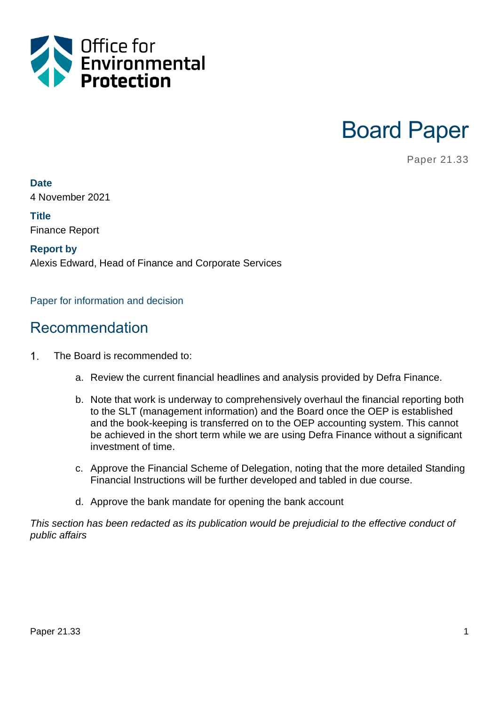

Board Paper

Paper 21.33

**Date**

4 November 2021

**Title** Finance Report

**Report by** Alexis Edward, Head of Finance and Corporate Services

Paper for information and decision

#### Recommendation

- $1<sub>1</sub>$ The Board is recommended to:
	- a. Review the current financial headlines and analysis provided by Defra Finance.
	- b. Note that work is underway to comprehensively overhaul the financial reporting both to the SLT (management information) and the Board once the OEP is established and the book-keeping is transferred on to the OEP accounting system. This cannot be achieved in the short term while we are using Defra Finance without a significant investment of time.
	- c. Approve the Financial Scheme of Delegation, noting that the more detailed Standing Financial Instructions will be further developed and tabled in due course.
	- d. Approve the bank mandate for opening the bank account

*This section has been redacted as its publication would be prejudicial to the effective conduct of public affairs*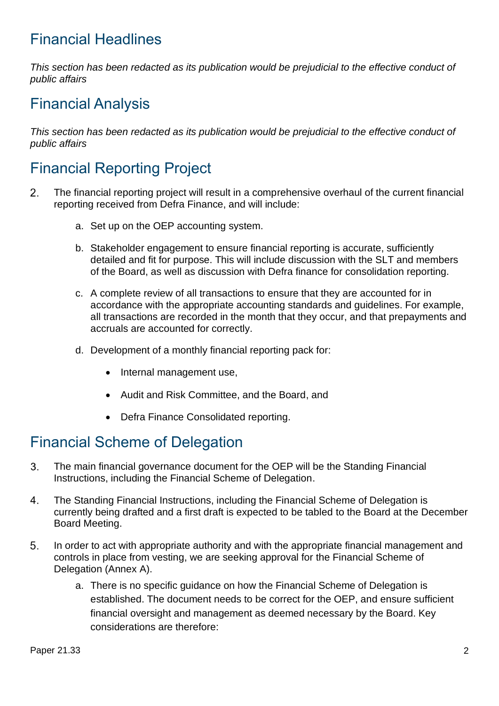### Financial Headlines

*This section has been redacted as its publication would be prejudicial to the effective conduct of public affairs*

### Financial Analysis

*This section has been redacted as its publication would be prejudicial to the effective conduct of public affairs*

## Financial Reporting Project

- The financial reporting project will result in a comprehensive overhaul of the current financial  $2.$ reporting received from Defra Finance, and will include:
	- a. Set up on the OEP accounting system.
	- b. Stakeholder engagement to ensure financial reporting is accurate, sufficiently detailed and fit for purpose. This will include discussion with the SLT and members of the Board, as well as discussion with Defra finance for consolidation reporting.
	- c. A complete review of all transactions to ensure that they are accounted for in accordance with the appropriate accounting standards and guidelines. For example, all transactions are recorded in the month that they occur, and that prepayments and accruals are accounted for correctly.
	- d. Development of a monthly financial reporting pack for:
		- Internal management use,
		- Audit and Risk Committee, and the Board, and
		- Defra Finance Consolidated reporting.

#### Financial Scheme of Delegation

- 3. The main financial governance document for the OEP will be the Standing Financial Instructions, including the Financial Scheme of Delegation.
- 4. The Standing Financial Instructions, including the Financial Scheme of Delegation is currently being drafted and a first draft is expected to be tabled to the Board at the December Board Meeting.
- 5. In order to act with appropriate authority and with the appropriate financial management and controls in place from vesting, we are seeking approval for the Financial Scheme of Delegation (Annex A).
	- a. There is no specific guidance on how the Financial Scheme of Delegation is established. The document needs to be correct for the OEP, and ensure sufficient financial oversight and management as deemed necessary by the Board. Key considerations are therefore: